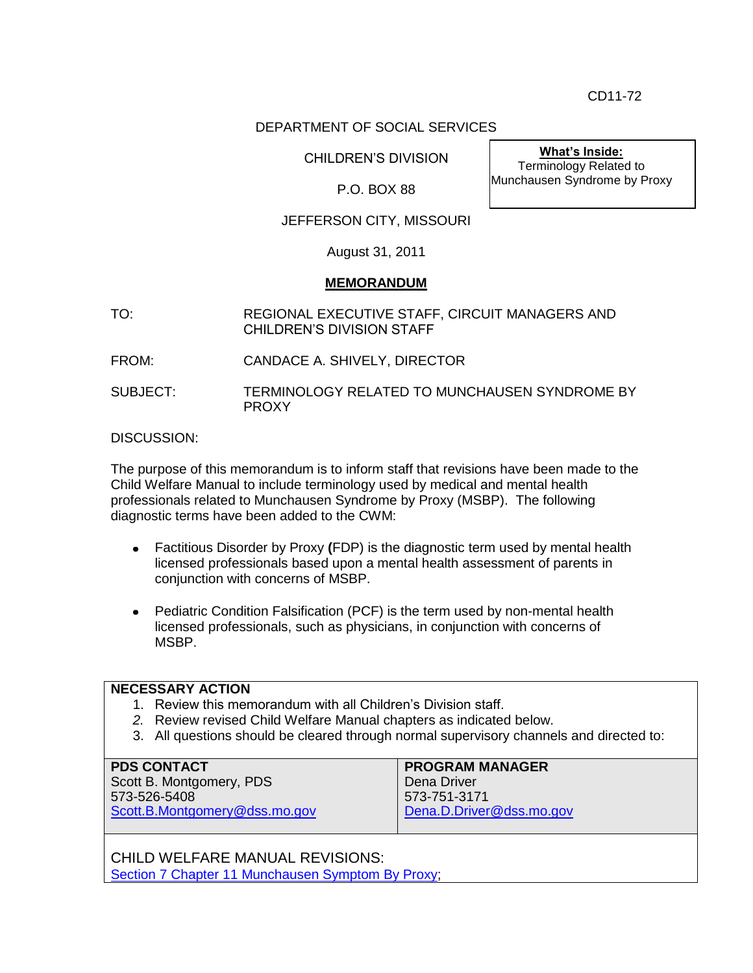CD11-72

## DEPARTMENT OF SOCIAL SERVICES

CHILDREN'S DIVISION

P.O. BOX 88

# JEFFERSON CITY, MISSOURI

August 31, 2011

### **MEMORANDUM**

- TO: REGIONAL EXECUTIVE STAFF, CIRCUIT MANAGERS AND CHILDREN'S DIVISION STAFF
- FROM: CANDACE A. SHIVELY, DIRECTOR

SUBJECT: TERMINOLOGY RELATED TO MUNCHAUSEN SYNDROME BY PROXY

### DISCUSSION:

The purpose of this memorandum is to inform staff that revisions have been made to the Child Welfare Manual to include terminology used by medical and mental health professionals related to Munchausen Syndrome by Proxy (MSBP). The following diagnostic terms have been added to the CWM:

- Factitious Disorder by Proxy **(**FDP) is the diagnostic term used by mental health licensed professionals based upon a mental health assessment of parents in conjunction with concerns of MSBP.
- Pediatric Condition Falsification (PCF) is the term used by non-mental health licensed professionals, such as physicians, in conjunction with concerns of MSBP.

#### **NECESSARY ACTION**

- 1. Review this memorandum with all Children's Division staff.
- *2.* Review revised Child Welfare Manual chapters as indicated below.
- 3. All questions should be cleared through normal supervisory channels and directed to:

| <b>PDS CONTACT</b>            | <b>PROGRAM MANAGER</b>   |
|-------------------------------|--------------------------|
| Scott B. Montgomery, PDS      | Dena Driver              |
| 573-526-5408                  | 573-751-3171             |
| Scott.B.Montgomery@dss.mo.gov | Dena.D.Driver@dss.mo.gov |
|                               |                          |

CHILD WELFARE MANUAL REVISIONS: [Section 7 Chapter 11 Munchausen Symptom By Proxy;](http://dss.mo.gov/cd/info/cwmanual/section7/ch1_33/sec7ch11.htm)

**What's Inside:** Terminology Related to Munchausen Syndrome by Proxy